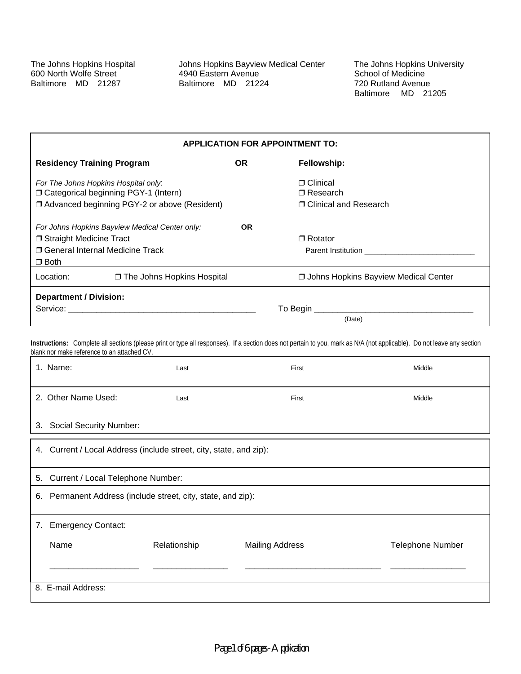Johns Hopkins Bayview Medical Center 4940 Eastern Avenue Baltimore MD 21224

The Johns Hopkins University School of Medicine 720 Rutland Avenue Baltimore MD 21205

| <b>APPLICATION FOR APPOINTMENT TO:</b>                                                                                                 |                                                |                                                                                                                                                                                                                                                      |                                             |
|----------------------------------------------------------------------------------------------------------------------------------------|------------------------------------------------|------------------------------------------------------------------------------------------------------------------------------------------------------------------------------------------------------------------------------------------------------|---------------------------------------------|
| <b>OR</b><br><b>Residency Training Program</b>                                                                                         |                                                |                                                                                                                                                                                                                                                      | Fellowship:                                 |
| For The Johns Hopkins Hospital only:                                                                                                   |                                                |                                                                                                                                                                                                                                                      | $\sqcap$ Clinical                           |
|                                                                                                                                        | □ Categorical beginning PGY-1 (Intern)         |                                                                                                                                                                                                                                                      | $\sqcap$ Research                           |
|                                                                                                                                        | □ Advanced beginning PGY-2 or above (Resident) |                                                                                                                                                                                                                                                      | □ Clinical and Research                     |
| For Johns Hopkins Bayview Medical Center only:<br>OR.<br>□ Straight Medicine Tract<br>□ General Internal Medicine Track<br>$\Box$ Both |                                                | $\sqcap$ Rotator<br>Parent Institution<br>The Contract of Contract of Contract of Contract of Contract of Contract of Contract of Contract of Contract of Contract of Contract of Contract of Contract of Contract of Contract of Contract of Contra |                                             |
| Location:                                                                                                                              | □ The Johns Hopkins Hospital                   |                                                                                                                                                                                                                                                      | <b>Johns Hopkins Bayview Medical Center</b> |
| <b>Department / Division:</b>                                                                                                          |                                                |                                                                                                                                                                                                                                                      |                                             |
| To Begin __                                                                                                                            |                                                |                                                                                                                                                                                                                                                      |                                             |
|                                                                                                                                        |                                                |                                                                                                                                                                                                                                                      | (Date)                                      |

Instructions: Complete all sections (please print or type all responses). If a section does not pertain to you, mark as N/A (not applicable). Do not leave any section blank nor make reference to an attached CV.

|    | 1. Name:                                                           | Last         | First                  | Middle                  |  |
|----|--------------------------------------------------------------------|--------------|------------------------|-------------------------|--|
|    | 2. Other Name Used:                                                | Last         | First                  | Middle                  |  |
| 3. | <b>Social Security Number:</b>                                     |              |                        |                         |  |
|    | 4. Current / Local Address (include street, city, state, and zip): |              |                        |                         |  |
| 5. | Current / Local Telephone Number:                                  |              |                        |                         |  |
| 6. | Permanent Address (include street, city, state, and zip):          |              |                        |                         |  |
|    | 7. Emergency Contact:                                              |              |                        |                         |  |
|    | Name                                                               | Relationship | <b>Mailing Address</b> | <b>Telephone Number</b> |  |
|    |                                                                    |              |                        |                         |  |
|    | 8. E-mail Address:                                                 |              |                        |                         |  |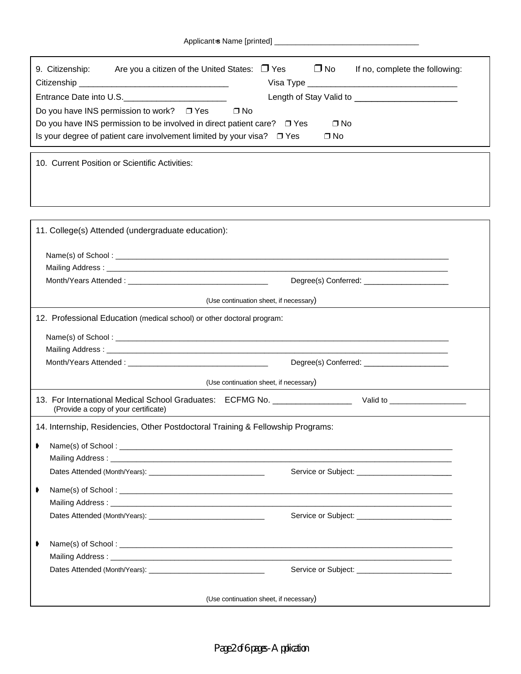Applicant=s Name [printed]

| $\Delta$ pplicaties ivalify $\Delta$ initial $\Delta$                                                                   |  |  |  |  |
|-------------------------------------------------------------------------------------------------------------------------|--|--|--|--|
| $\square$ No<br>Are you a citizen of the United States: $\Box$ Yes<br>9. Citizenship:<br>If no, complete the following: |  |  |  |  |
| Entrance Date into U.S.___________________________                                                                      |  |  |  |  |
| Do you have INS permission to work? $\Box$ Yes<br>$\Box$ No                                                             |  |  |  |  |
| Do you have INS permission to be involved in direct patient care? □ Yes<br>$\Box$ No                                    |  |  |  |  |
| Is your degree of patient care involvement limited by your visa? $\Box$ Yes<br>$\Box$ No                                |  |  |  |  |
| 10. Current Position or Scientific Activities:                                                                          |  |  |  |  |
| 11. College(s) Attended (undergraduate education):                                                                      |  |  |  |  |
|                                                                                                                         |  |  |  |  |
|                                                                                                                         |  |  |  |  |
|                                                                                                                         |  |  |  |  |
| (Use continuation sheet, if necessary)                                                                                  |  |  |  |  |
| 12. Professional Education (medical school) or other doctoral program:                                                  |  |  |  |  |
|                                                                                                                         |  |  |  |  |
|                                                                                                                         |  |  |  |  |
| Degree(s) Conferred: ________________________                                                                           |  |  |  |  |
| (Use continuation sheet, if necessary)                                                                                  |  |  |  |  |

13. For International Medical School Graduates: ECFMG No. \_\_\_\_\_\_\_\_\_\_\_\_\_\_\_\_\_\_\_\_\_\_ Valid to \_\_\_\_\_\_\_\_\_\_\_\_\_\_\_\_ (Provide a copy of your certificate)

14. Internship, Residencies, Other Postdoctoral Training & Fellowship Programs:

| ▶  |  |  |  |  |
|----|--|--|--|--|
|    |  |  |  |  |
|    |  |  |  |  |
| ₿. |  |  |  |  |
|    |  |  |  |  |
|    |  |  |  |  |
| ▶  |  |  |  |  |
|    |  |  |  |  |
|    |  |  |  |  |

*Page 2 of 6 pages - Application*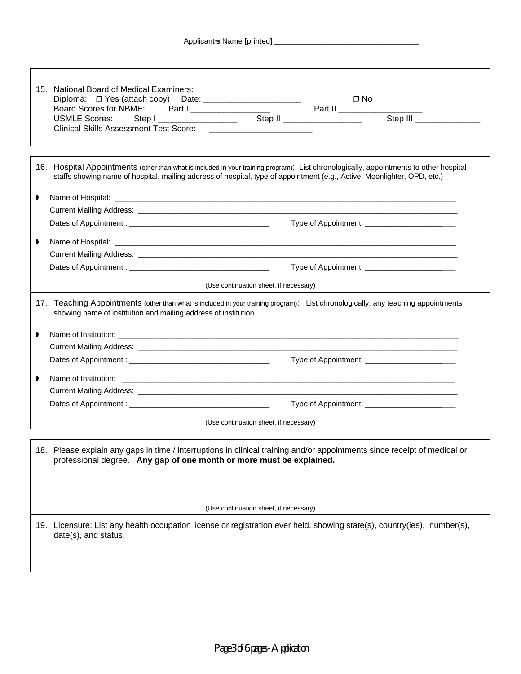|   | 15. National Board of Medical Examiners:                                                                                                                                                                                                                           |                                                             |                                                  |  |
|---|--------------------------------------------------------------------------------------------------------------------------------------------------------------------------------------------------------------------------------------------------------------------|-------------------------------------------------------------|--------------------------------------------------|--|
|   |                                                                                                                                                                                                                                                                    |                                                             | $\Box$ No                                        |  |
|   | Board Scores for NBME: Part I _________________                                                                                                                                                                                                                    |                                                             | $\overline{\phantom{a}}$ Part II                 |  |
|   | Step   _____________________<br><b>USMLE Scores:</b>                                                                                                                                                                                                               |                                                             | Step II ____________________<br>Step III         |  |
|   | <b>Clinical Skills Assessment Test Score:</b>                                                                                                                                                                                                                      | the control of the control of the control of the control of |                                                  |  |
|   |                                                                                                                                                                                                                                                                    |                                                             |                                                  |  |
|   | 16. Hospital Appointments (other than what is included in your training program): List chronologically, appointments to other hospital<br>staffs showing name of hospital, mailing address of hospital, type of appointment (e.g., Active, Moonlighter, OPD, etc.) |                                                             |                                                  |  |
| ⋫ |                                                                                                                                                                                                                                                                    |                                                             |                                                  |  |
|   |                                                                                                                                                                                                                                                                    |                                                             |                                                  |  |
|   |                                                                                                                                                                                                                                                                    |                                                             |                                                  |  |
| ◗ |                                                                                                                                                                                                                                                                    |                                                             |                                                  |  |
|   |                                                                                                                                                                                                                                                                    |                                                             |                                                  |  |
|   |                                                                                                                                                                                                                                                                    |                                                             | Type of Appointment: ___________________________ |  |
|   |                                                                                                                                                                                                                                                                    |                                                             |                                                  |  |
|   |                                                                                                                                                                                                                                                                    | (Use continuation sheet, if necessary)                      |                                                  |  |
|   | 17. Teaching Appointments (other than what is included in your training program): List chronologically, any teaching appointments<br>showing name of institution and mailing address of institution.                                                               |                                                             |                                                  |  |
| ◗ |                                                                                                                                                                                                                                                                    |                                                             |                                                  |  |
|   |                                                                                                                                                                                                                                                                    |                                                             |                                                  |  |
|   |                                                                                                                                                                                                                                                                    |                                                             |                                                  |  |
|   |                                                                                                                                                                                                                                                                    |                                                             |                                                  |  |
|   |                                                                                                                                                                                                                                                                    |                                                             |                                                  |  |
|   |                                                                                                                                                                                                                                                                    |                                                             |                                                  |  |
|   |                                                                                                                                                                                                                                                                    |                                                             |                                                  |  |
|   |                                                                                                                                                                                                                                                                    | (Use continuation sheet, if necessary)                      |                                                  |  |
|   | 18. Please explain any gaps in time / interruptions in clinical training and/or appointments since receipt of medical or<br>professional degree. Any gap of one month or more must be explained.                                                                   |                                                             |                                                  |  |
|   |                                                                                                                                                                                                                                                                    |                                                             |                                                  |  |
|   |                                                                                                                                                                                                                                                                    |                                                             |                                                  |  |
|   |                                                                                                                                                                                                                                                                    | (Use continuation sheet, if necessary)                      |                                                  |  |
|   | 19. Licensure: List any health occupation license or registration ever held, showing state(s), country(ies), number(s),<br>date(s), and status.                                                                                                                    |                                                             |                                                  |  |
|   |                                                                                                                                                                                                                                                                    |                                                             |                                                  |  |
|   |                                                                                                                                                                                                                                                                    |                                                             |                                                  |  |
|   |                                                                                                                                                                                                                                                                    |                                                             |                                                  |  |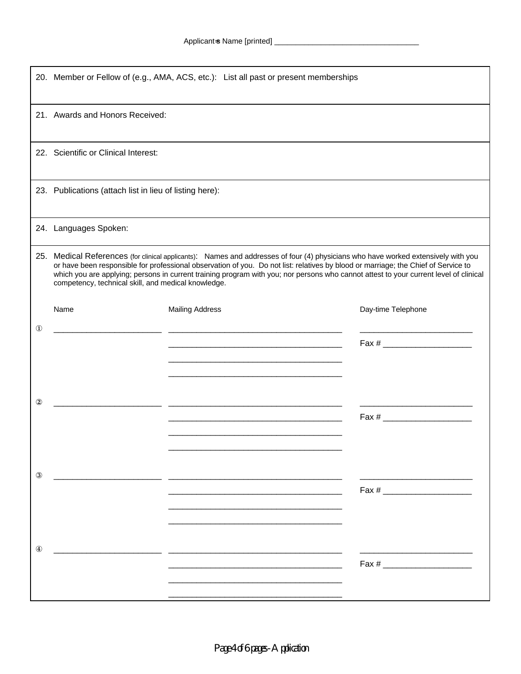|                   | 20. Member or Fellow of (e.g., AMA, ACS, etc.): List all past or present memberships                                                                                                                                                                                                                                                                                                                                                                                    |                                                                            |                    |  |
|-------------------|-------------------------------------------------------------------------------------------------------------------------------------------------------------------------------------------------------------------------------------------------------------------------------------------------------------------------------------------------------------------------------------------------------------------------------------------------------------------------|----------------------------------------------------------------------------|--------------------|--|
|                   | 21. Awards and Honors Received:                                                                                                                                                                                                                                                                                                                                                                                                                                         |                                                                            |                    |  |
|                   | 22. Scientific or Clinical Interest:                                                                                                                                                                                                                                                                                                                                                                                                                                    |                                                                            |                    |  |
|                   | 23. Publications (attach list in lieu of listing here):                                                                                                                                                                                                                                                                                                                                                                                                                 |                                                                            |                    |  |
|                   | 24. Languages Spoken:                                                                                                                                                                                                                                                                                                                                                                                                                                                   |                                                                            |                    |  |
|                   | 25. Medical References (for clinical applicants): Names and addresses of four (4) physicians who have worked extensively with you<br>or have been responsible for professional observation of you. Do not list: relatives by blood or marriage; the Chief of Service to<br>which you are applying; persons in current training program with you; nor persons who cannot attest to your current level of clinical<br>competency, technical skill, and medical knowledge. |                                                                            |                    |  |
|                   | Name                                                                                                                                                                                                                                                                                                                                                                                                                                                                    | <b>Mailing Address</b>                                                     | Day-time Telephone |  |
| $\mathbf{\Omega}$ |                                                                                                                                                                                                                                                                                                                                                                                                                                                                         |                                                                            |                    |  |
| $\circled{2}$     |                                                                                                                                                                                                                                                                                                                                                                                                                                                                         | the control of the control of the control of the control of the control of |                    |  |
| $\circled{3}$     |                                                                                                                                                                                                                                                                                                                                                                                                                                                                         |                                                                            | $\text{Fax} \#$    |  |
| $^{\circledR}$    |                                                                                                                                                                                                                                                                                                                                                                                                                                                                         |                                                                            | Fax #              |  |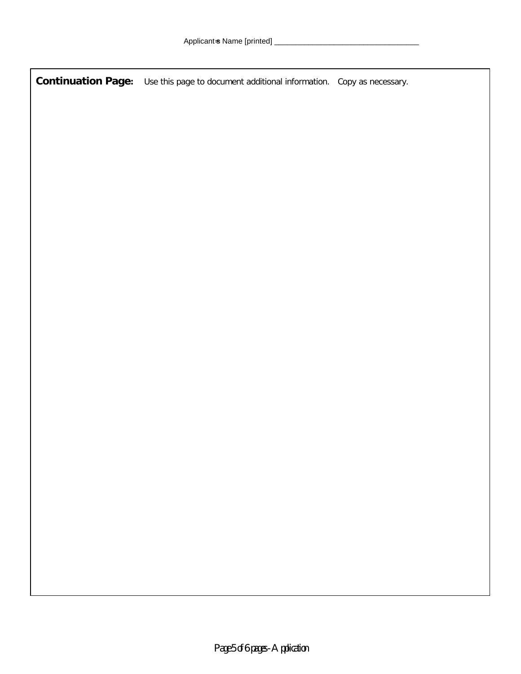**Continuation Page:** Use this page to document additional information. Copy as necessary.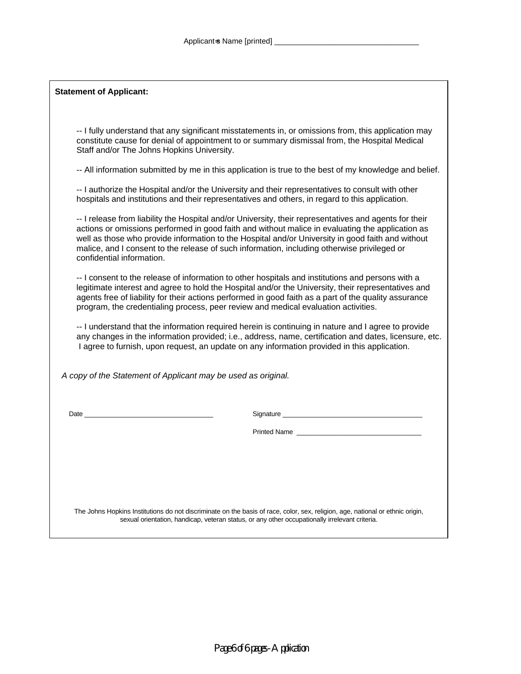-- I fully understand that any significant misstatements in, or omissions from, this application may constitute cause for denial of appointment to or summary dismissal from, the Hospital Medical Staff and/or The Johns Hopkins University.

-- All information submitted by me in this application is true to the best of my knowledge and belief.

-- I authorize the Hospital and/or the University and their representatives to consult with other hospitals and institutions and their representatives and others, in regard to this application.

-- I release from liability the Hospital and/or University, their representatives and agents for their actions or omissions performed in good faith and without malice in evaluating the application as well as those who provide information to the Hospital and/or University in good faith and without malice, and I consent to the release of such information, including otherwise privileged or confidential information.

-- I consent to the release of information to other hospitals and institutions and persons with a legitimate interest and agree to hold the Hospital and/or the University, their representatives and agents free of liability for their actions performed in good faith as a part of the quality assurance program, the credentialing process, peer review and medical evaluation activities.

-- I understand that the information required herein is continuing in nature and I agree to provide any changes in the information provided; i.e., address, name, certification and dates, licensure, etc. I agree to furnish, upon request, an update on any information provided in this application.

 *A copy of the Statement of Applicant may be used as original.*

Date **Date Date Date Contract Contract Contract Contract Contract Contract Contract Contract Contract Contract Contract Contract Contract Contract Contract Contract Contract Contract Contract Contract Contract Contra** 

Printed Name

The Johns Hopkins Institutions do not discriminate on the basis of race, color, sex, religion, age, national or ethnic origin, sexual orientation, handicap, veteran status, or any other occupationally irrelevant criteria.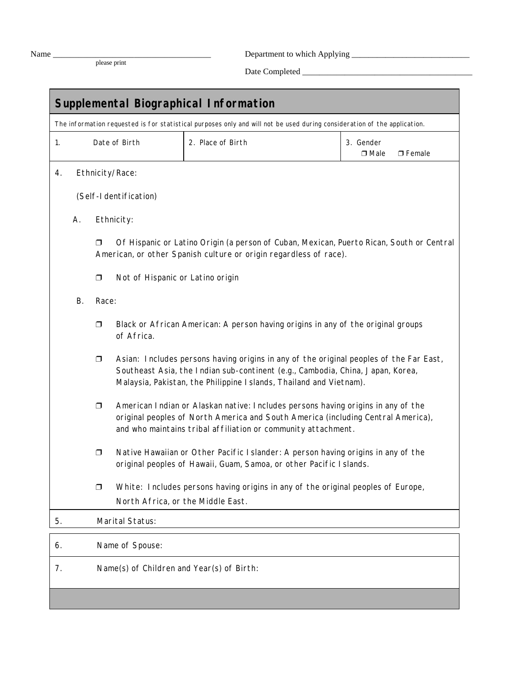please print

Name \_\_\_\_\_\_\_\_\_\_\_\_\_\_\_\_\_\_\_\_\_\_\_\_\_\_\_\_\_\_\_\_\_\_\_\_\_ Department to which Applying \_\_\_\_\_\_\_\_\_\_\_\_\_\_\_\_\_\_\_\_\_\_\_\_\_\_\_\_

Date Completed \_\_\_\_\_\_\_\_\_\_\_\_\_\_\_\_\_\_\_\_\_\_\_\_\_\_\_\_\_\_\_\_\_\_\_\_\_\_\_\_

| <b>Supplemental Biographical Information</b> |                                                                                                                                                                                   |                                                                                                                                                                         |                                                                                                                                                                                                                                                |                                                                                                                                                                                                                                       |                                    |  |
|----------------------------------------------|-----------------------------------------------------------------------------------------------------------------------------------------------------------------------------------|-------------------------------------------------------------------------------------------------------------------------------------------------------------------------|------------------------------------------------------------------------------------------------------------------------------------------------------------------------------------------------------------------------------------------------|---------------------------------------------------------------------------------------------------------------------------------------------------------------------------------------------------------------------------------------|------------------------------------|--|
|                                              | The information requested is for statistical purposes only and will not be used during consideration of the application.<br>2. Place of Birth<br>1.<br>Date of Birth<br>3. Gender |                                                                                                                                                                         |                                                                                                                                                                                                                                                |                                                                                                                                                                                                                                       |                                    |  |
|                                              |                                                                                                                                                                                   |                                                                                                                                                                         |                                                                                                                                                                                                                                                |                                                                                                                                                                                                                                       | $\square$ Male<br>$\square$ Female |  |
| 4.                                           |                                                                                                                                                                                   | Ethnicity/Race:                                                                                                                                                         |                                                                                                                                                                                                                                                |                                                                                                                                                                                                                                       |                                    |  |
|                                              |                                                                                                                                                                                   | (Self-I dentification)                                                                                                                                                  |                                                                                                                                                                                                                                                |                                                                                                                                                                                                                                       |                                    |  |
|                                              | А.                                                                                                                                                                                |                                                                                                                                                                         | Ethnicity:                                                                                                                                                                                                                                     |                                                                                                                                                                                                                                       |                                    |  |
|                                              |                                                                                                                                                                                   | Of Hispanic or Latino Origin (a person of Cuban, Mexican, Puerto Rican, South or Central<br>$\Box$<br>American, or other Spanish culture or origin regardless of race). |                                                                                                                                                                                                                                                |                                                                                                                                                                                                                                       |                                    |  |
|                                              |                                                                                                                                                                                   | $\Box$                                                                                                                                                                  | Not of Hispanic or Latino origin                                                                                                                                                                                                               |                                                                                                                                                                                                                                       |                                    |  |
|                                              | В.                                                                                                                                                                                | Race:                                                                                                                                                                   |                                                                                                                                                                                                                                                |                                                                                                                                                                                                                                       |                                    |  |
|                                              |                                                                                                                                                                                   | Black or African American: A person having origins in any of the original groups<br>$\Box$<br>of Africa.                                                                |                                                                                                                                                                                                                                                |                                                                                                                                                                                                                                       |                                    |  |
|                                              |                                                                                                                                                                                   | $\Box$                                                                                                                                                                  | Asian: Includes persons having origins in any of the original peoples of the Far East,<br>Southeast Asia, the Indian sub-continent (e.g., Cambodia, China, Japan, Korea,<br>Malaysia, Pakistan, the Philippine Islands, Thailand and Vietnam). |                                                                                                                                                                                                                                       |                                    |  |
|                                              |                                                                                                                                                                                   | $\Box$                                                                                                                                                                  |                                                                                                                                                                                                                                                | American Indian or Alaskan native: Includes persons having origins in any of the<br>original peoples of North America and South America (including Central America),<br>and who maintains tribal affiliation or community attachment. |                                    |  |
|                                              |                                                                                                                                                                                   | Native Hawaiian or Other Pacific I slander: A person having origins in any of the<br>$\Box$<br>original peoples of Hawaii, Guam, Samoa, or other Pacific Islands.       |                                                                                                                                                                                                                                                |                                                                                                                                                                                                                                       |                                    |  |
|                                              |                                                                                                                                                                                   | ◘                                                                                                                                                                       |                                                                                                                                                                                                                                                | White: Includes persons having origins in any of the original peoples of Europe,                                                                                                                                                      |                                    |  |
|                                              |                                                                                                                                                                                   |                                                                                                                                                                         | North Africa, or the Middle East.                                                                                                                                                                                                              |                                                                                                                                                                                                                                       |                                    |  |
| 5.                                           |                                                                                                                                                                                   | Marital Status:                                                                                                                                                         |                                                                                                                                                                                                                                                |                                                                                                                                                                                                                                       |                                    |  |
| 6.                                           |                                                                                                                                                                                   |                                                                                                                                                                         | Name of Spouse:                                                                                                                                                                                                                                |                                                                                                                                                                                                                                       |                                    |  |
| 7.                                           |                                                                                                                                                                                   | Name(s) of Children and Year(s) of Birth:                                                                                                                               |                                                                                                                                                                                                                                                |                                                                                                                                                                                                                                       |                                    |  |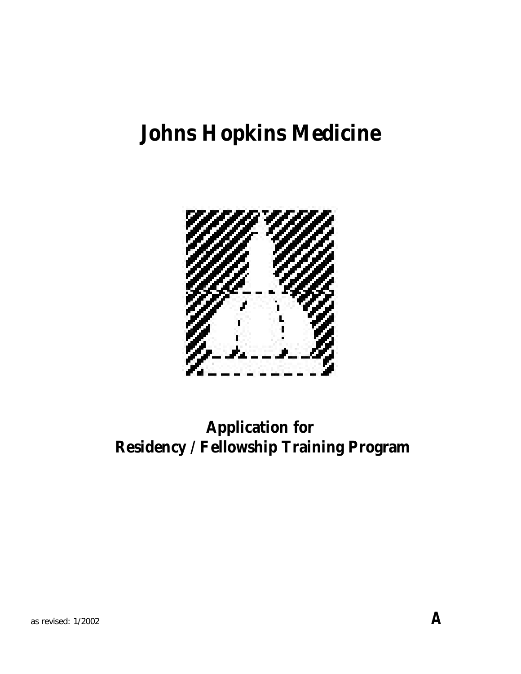## **Johns Hopkins Medicine**



## **Application for Residency / Fellowship Training Program**